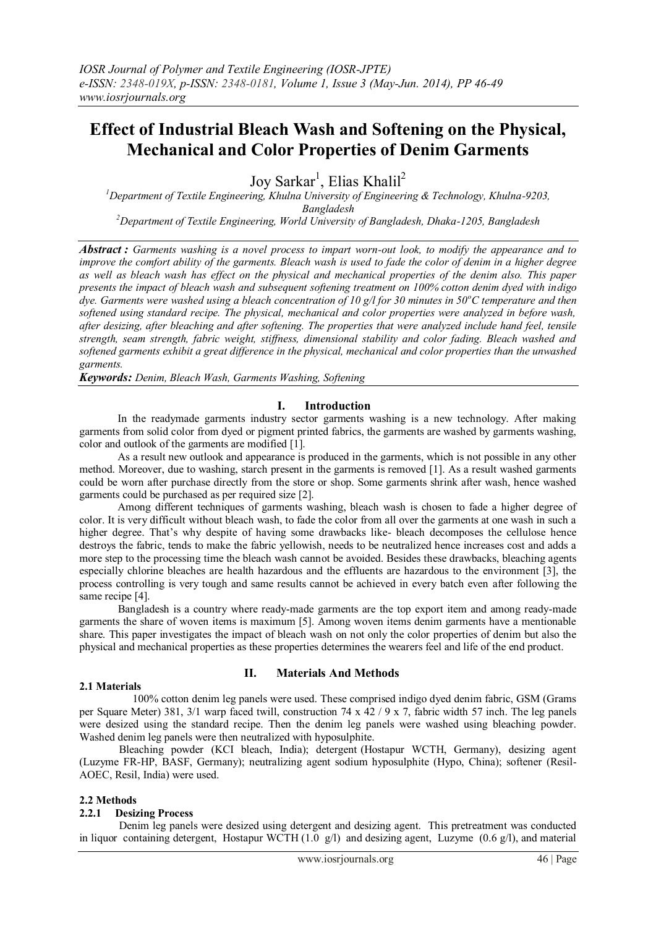# **Effect of Industrial Bleach Wash and Softening on the Physical, Mechanical and Color Properties of Denim Garments**

Joy Sarkar<sup>1</sup>, Elias Khalil<sup>2</sup>

*<sup>1</sup>Department of Textile Engineering, Khulna University of Engineering & Technology, Khulna-9203, Bangladesh <sup>2</sup>Department of Textile Engineering, World University of Bangladesh, Dhaka-1205, Bangladesh*

*Abstract : Garments washing is a novel process to impart worn-out look, to modify the appearance and to improve the comfort ability of the garments. Bleach wash is used to fade the color of denim in a higher degree as well as bleach wash has effect on the physical and mechanical properties of the denim also. This paper presents the impact of bleach wash and subsequent softening treatment on 100% cotton denim dyed with indigo dye. Garments were washed using a bleach concentration of 10 g/l for 30 minutes in 50<sup>o</sup>C temperature and then softened using standard recipe. The physical, mechanical and color properties were analyzed in before wash, after desizing, after bleaching and after softening. The properties that were analyzed include hand feel, tensile strength, seam strength, fabric weight, stiffness, dimensional stability and color fading. Bleach washed and softened garments exhibit a great difference in the physical, mechanical and color properties than the unwashed garments.*

*Keywords: Denim, Bleach Wash, Garments Washing, Softening* 

## **I. Introduction**

 In the readymade garments industry sector garments washing is a new technology. After making garments from solid color from dyed or pigment printed fabrics, the garments are washed by garments washing, color and outlook of the garments are modified [1].

 As a result new outlook and appearance is produced in the garments, which is not possible in any other method. Moreover, due to washing, starch present in the garments is removed [1]. As a result washed garments could be worn after purchase directly from the store or shop. Some garments shrink after wash, hence washed garments could be purchased as per required size [2].

 Among different techniques of garments washing, bleach wash is chosen to fade a higher degree of color. It is very difficult without bleach wash, to fade the color from all over the garments at one wash in such a higher degree. That's why despite of having some drawbacks like- bleach decomposes the cellulose hence destroys the fabric, tends to make the fabric yellowish, needs to be neutralized hence increases cost and adds a more step to the processing time the bleach wash cannot be avoided. Besides these drawbacks, bleaching agents especially chlorine bleaches are health hazardous and the effluents are hazardous to the environment [3], the process controlling is very tough and same results cannot be achieved in every batch even after following the same recipe [4].

 Bangladesh is a country where ready-made garments are the top export item and among ready-made garments the share of woven items is maximum [5]. Among woven items denim garments have a mentionable share. This paper investigates the impact of bleach wash on not only the color properties of denim but also the physical and mechanical properties as these properties determines the wearers feel and life of the end product.

### **2.1 Materials**

## **II. Materials And Methods**

 100% cotton denim leg panels were used. These comprised indigo dyed denim fabric, GSM (Grams per Square Meter) 381, 3/1 warp faced twill, construction 74 x 42 / 9 x 7, fabric width 57 inch. The leg panels were desized using the standard recipe. Then the denim leg panels were washed using bleaching powder. Washed denim leg panels were then neutralized with hyposulphite.

Bleaching powder (KCI bleach, India); detergent (Hostapur WCTH, Germany), desizing agent (Luzyme FR-HP, BASF, Germany); neutralizing agent sodium hyposulphite (Hypo, China); softener (Resil-AOEC, Resil, India) were used.

### **2.2 Methods**

### **2.2.1 Desizing Process**

Denim leg panels were desized using detergent and desizing agent. This pretreatment was conducted in liquor containing detergent, Hostapur WCTH  $(1.0 \text{ g/l})$  and desizing agent, Luzyme  $(0.6 \text{ g/l})$ , and material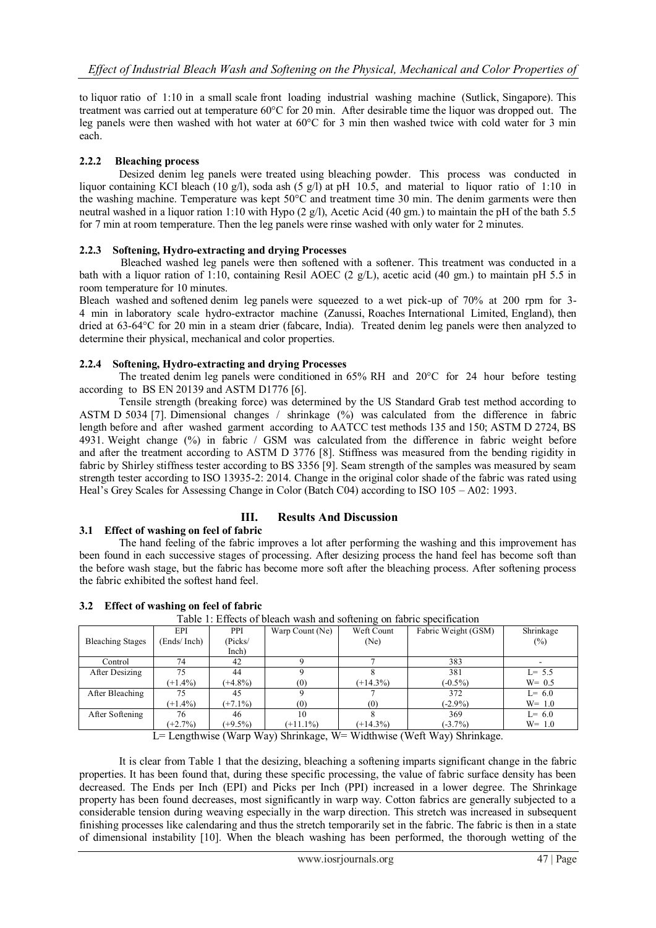to liquor ratio of 1:10 in a small scale front loading industrial washing machine (Sutlick, Singapore). This treatment was carried out at temperature 60°C for 20 min. After desirable time the liquor was dropped out. The leg panels were then washed with hot water at 60°C for 3 min then washed twice with cold water for 3 min each.

# **2.2.2 Bleaching process**

Desized denim leg panels were treated using bleaching powder. This process was conducted in liquor containing KCI bleach (10 g/l), soda ash (5 g/l) at pH 10.5, and material to liquor ratio of 1:10 in the washing machine. Temperature was kept 50°C and treatment time 30 min. The denim garments were then neutral washed in a liquor ration 1:10 with Hypo (2 g/l), Acetic Acid (40 gm.) to maintain the pH of the bath 5.5 for 7 min at room temperature. Then the leg panels were rinse washed with only water for 2 minutes.

# **2.2.3 Softening, Hydro-extracting and drying Processes**

 Bleached washed leg panels were then softened with a softener. This treatment was conducted in a bath with a liquor ration of 1:10, containing Resil AOEC (2 g/L), acetic acid (40 gm.) to maintain pH 5.5 in room temperature for 10 minutes.

Bleach washed and softened denim leg panels were squeezed to a wet pick-up of 70% at 200 rpm for 3- 4 min in laboratory scale hydro-extractor machine (Zanussi, Roaches International Limited, England), then dried at 63-64°C for 20 min in a steam drier (fabcare, India). Treated denim leg panels were then analyzed to determine their physical, mechanical and color properties.

# **2.2.4 Softening, Hydro-extracting and drying Processes**

The treated denim leg panels were conditioned in 65% RH and 20°C for 24 hour before testing according to BS EN 20139 and ASTM D1776 [6].

Tensile strength (breaking force) was determined by the US Standard Grab test method according to ASTM D 5034 [7]. Dimensional changes / shrinkage (%) was calculated from the difference in fabric length before and after washed garment according to AATCC test methods 135 and 150; ASTM D 2724, BS 4931. Weight change (%) in fabric / GSM was calculated from the difference in fabric weight before and after the treatment according to ASTM D 3776 [8]. Stiffness was measured from the bending rigidity in fabric by Shirley stiffness tester according to BS 3356 [9]. Seam strength of the samples was measured by seam strength tester according to ISO 13935-2: 2014. Change in the original color shade of the fabric was rated using Heal's Grey Scales for Assessing Change in Color (Batch C04) according to ISO 105 – A02: 1993.

# **III. Results And Discussion**

# **3.1 Effect of washing on feel of fabric**

 The hand feeling of the fabric improves a lot after performing the washing and this improvement has been found in each successive stages of processing. After desizing process the hand feel has become soft than the before wash stage, but the fabric has become more soft after the bleaching process. After softening process the fabric exhibited the softest hand feel.

| Table 1: Effects of bleach wash and softening on fabric specification                                                                                                                                                                                                                                                              |             |            |                 |             |                     |           |
|------------------------------------------------------------------------------------------------------------------------------------------------------------------------------------------------------------------------------------------------------------------------------------------------------------------------------------|-------------|------------|-----------------|-------------|---------------------|-----------|
|                                                                                                                                                                                                                                                                                                                                    | EPI         | PPI        | Warp Count (Ne) | Weft Count  | Fabric Weight (GSM) | Shrinkage |
| <b>Bleaching Stages</b>                                                                                                                                                                                                                                                                                                            | (Ends/Inch) | (Picks/    |                 | (Ne)        |                     | $(\%)$    |
|                                                                                                                                                                                                                                                                                                                                    |             | Inch)      |                 |             |                     |           |
| Control                                                                                                                                                                                                                                                                                                                            | 74          | 42         |                 |             | 383                 |           |
| After Desizing                                                                                                                                                                                                                                                                                                                     | 75          | 44         |                 |             | 381                 | $L = 5.5$ |
|                                                                                                                                                                                                                                                                                                                                    | $(+1.4\%)$  | $(+4.8\%)$ | (0)             | $(+14.3\%)$ | $(-0.5\%)$          | $W = 0.5$ |
| After Bleaching                                                                                                                                                                                                                                                                                                                    | 75          | 45         |                 |             | 372                 | $L = 6.0$ |
|                                                                                                                                                                                                                                                                                                                                    | $(+1.4\%)$  | $(+7.1\%)$ | (0)             | (0)         | $(-2.9\%)$          | $W = 1.0$ |
| After Softening                                                                                                                                                                                                                                                                                                                    | 76          | 46         | 10              |             | 369                 | $L = 6.0$ |
|                                                                                                                                                                                                                                                                                                                                    | $(+2.7%)$   | $(+9.5\%)$ | $(+11.1\%)$     | $(+14.3\%)$ | $(-3.7%)$           | $W = 1.0$ |
| $\mathbf{I}$ $\mathbf{I}$ $\mathbf{I}$ $\mathbf{I}$ $\mathbf{I}$ $\mathbf{I}$ $\mathbf{I}$ $\mathbf{I}$ $\mathbf{I}$ $\mathbf{I}$ $\mathbf{I}$ $\mathbf{I}$ $\mathbf{I}$ $\mathbf{I}$ $\mathbf{I}$ $\mathbf{I}$ $\mathbf{I}$ $\mathbf{I}$ $\mathbf{I}$ $\mathbf{I}$ $\mathbf{I}$ $\mathbf{I}$ $\mathbf{I}$ $\mathbf{I}$ $\mathbf{$ |             |            |                 |             |                     |           |

**3.2 Effect of washing on feel of fabric**

Table 1: Effects of bleach wash and softening on fabric specification

L= Lengthwise (Warp Way) Shrinkage, W= Widthwise (Weft Way) Shrinkage.

It is clear from Table 1 that the desizing, bleaching a softening imparts significant change in the fabric properties. It has been found that, during these specific processing, the value of fabric surface density has been decreased. The Ends per Inch (EPI) and Picks per Inch (PPI) increased in a lower degree. The Shrinkage property has been found decreases, most significantly in warp way. Cotton fabrics are generally subjected to a considerable tension during weaving especially in the warp direction. This stretch was increased in subsequent finishing processes like calendaring and thus the stretch temporarily set in the fabric. The fabric is then in a state of dimensional instability [10]. When the bleach washing has been performed, the thorough wetting of the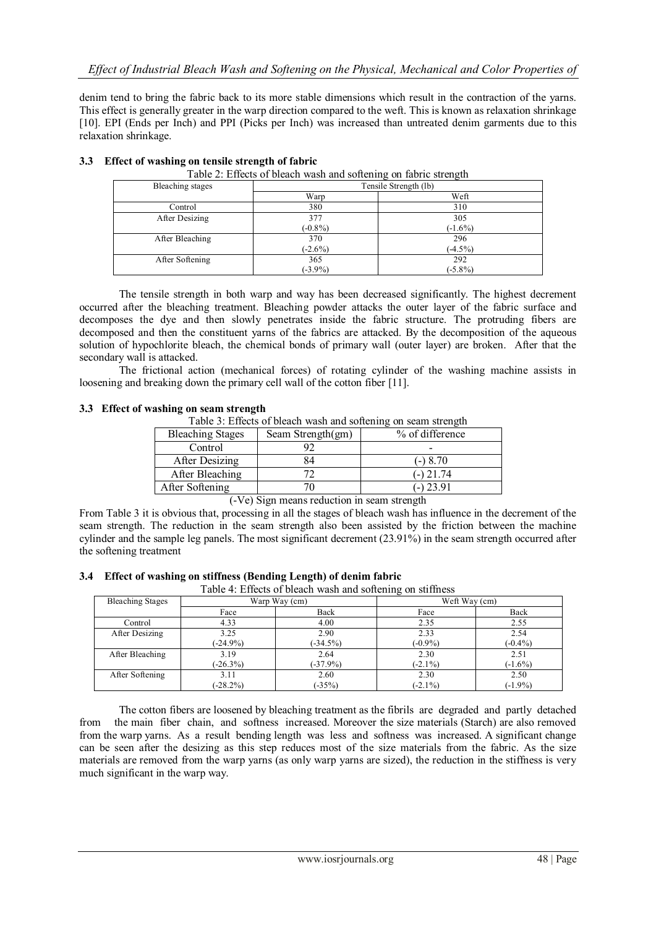denim tend to bring the fabric back to its more stable dimensions which result in the contraction of the yarns. This effect is generally greater in the warp direction compared to the weft. This is known as relaxation shrinkage [10]. EPI (Ends per Inch) and PPI (Picks per Inch) was increased than untreated denim garments due to this relaxation shrinkage.

| Bleaching stages | Tensile Strength (lb) |            |  |
|------------------|-----------------------|------------|--|
|                  | Warp                  | Weft       |  |
| Control          | 380                   | 310        |  |
| After Desizing   | 377                   | 305        |  |
|                  | $(-0.8\%)$            | $(-1.6\%)$ |  |
| After Bleaching  | 370                   | 296        |  |
|                  | $(-2.6\%)$            | $(-4.5\%)$ |  |
| After Softening  | 365                   | 292        |  |
|                  | $(-3.9\%)$            | $(-5.8\%)$ |  |

## **3.3 Effect of washing on tensile strength of fabric**

Table 2: Effects of bleach wash and softening on fabric strength

The tensile strength in both warp and way has been decreased significantly. The highest decrement occurred after the bleaching treatment. Bleaching powder attacks the outer layer of the fabric surface and decomposes the dye and then slowly penetrates inside the fabric structure. The protruding fibers are decomposed and then the constituent yarns of the fabrics are attacked. By the decomposition of the aqueous solution of hypochlorite bleach, the chemical bonds of primary wall (outer layer) are broken. After that the secondary wall is attacked.

The frictional action (mechanical forces) of rotating cylinder of the washing machine assists in loosening and breaking down the primary cell wall of the cotton fiber [11].

## **3.3 Effect of washing on seam strength**

Table 3: Effects of bleach wash and softening on seam strength

| <b>Bleaching Stages</b> | Seam Strength(gm) | % of difference |  |  |
|-------------------------|-------------------|-----------------|--|--|
| Control                 |                   |                 |  |  |
| After Desizing          |                   | $-)8.70$        |  |  |
| After Bleaching         |                   | $(-)$ 21.74     |  |  |
| After Softening         |                   | $-$ ) 23.91     |  |  |
|                         |                   |                 |  |  |

<sup>(-</sup>Ve) Sign means reduction in seam strength

From Table 3 it is obvious that, processing in all the stages of bleach wash has influence in the decrement of the seam strength. The reduction in the seam strength also been assisted by the friction between the machine cylinder and the sample leg panels. The most significant decrement (23.91%) in the seam strength occurred after the softening treatment

**3.4 Effect of washing on stiffness (Bending Length) of denim fabric**

Table 4: Effects of bleach wash and softening on stiffness

|                         |               |             | ັ             |            |
|-------------------------|---------------|-------------|---------------|------------|
| <b>Bleaching Stages</b> | Warp Way (cm) |             | Weft Way (cm) |            |
|                         | Face          | Back        | Face          | Back       |
| Control                 | 4.33          | 4.00        | 2.35          | 2.55       |
| After Desizing          | 3.25          | 2.90        | 2.33          | 2.54       |
|                         | $(-24.9\%)$   | $(-34.5%)$  | $(-0.9\%)$    | $(-0.4\%)$ |
| After Bleaching         | 3.19          | 2.64        | 2.30          | 2.51       |
|                         | $(-26.3\%)$   | $(-37.9\%)$ | $(-2.1\%)$    | $(-1.6\%)$ |
| After Softening         | 3.11          | 2.60        | 2.30          | 2.50       |
|                         | $(-28.2%)$    | $(-35%)$    | $(-2.1\%)$    | $(-1.9\%)$ |

The cotton fibers are loosened by bleaching treatment as the fibrils are degraded and partly detached from the main fiber chain, and softness increased. Moreover the size materials (Starch) are also removed from the warp yarns. As a result bending length was less and softness was increased. A significant change can be seen after the desizing as this step reduces most of the size materials from the fabric. As the size materials are removed from the warp yarns (as only warp yarns are sized), the reduction in the stiffness is very much significant in the warp way.